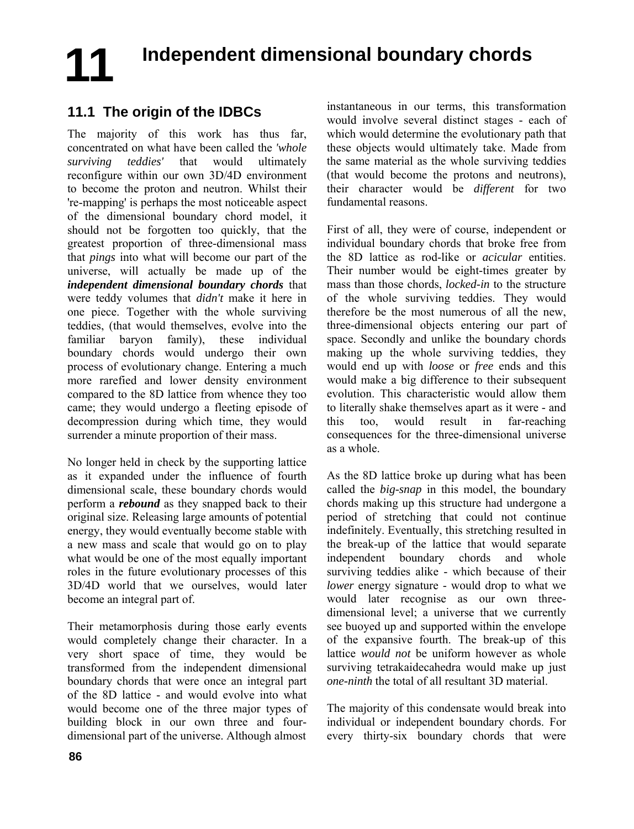# **Independent dimensional boundary chords 11**

# **11.1 The origin of the IDBCs**

The majority of this work has thus far, concentrated on what have been called the *'whole surviving teddies'* that would ultimately reconfigure within our own 3D/4D environment to become the proton and neutron. Whilst their 're-mapping' is perhaps the most noticeable aspect of the dimensional boundary chord model, it should not be forgotten too quickly, that the greatest proportion of three-dimensional mass that *pings* into what will become our part of the universe, will actually be made up of the *independent dimensional boundary chords* that were teddy volumes that *didn't* make it here in one piece. Together with the whole surviving teddies, (that would themselves, evolve into the familiar baryon family), these individual boundary chords would undergo their own process of evolutionary change. Entering a much more rarefied and lower density environment compared to the 8D lattice from whence they too came; they would undergo a fleeting episode of decompression during which time, they would surrender a minute proportion of their mass.

No longer held in check by the supporting lattice as it expanded under the influence of fourth dimensional scale, these boundary chords would perform a *rebound* as they snapped back to their original size. Releasing large amounts of potential energy, they would eventually become stable with a new mass and scale that would go on to play what would be one of the most equally important roles in the future evolutionary processes of this 3D/4D world that we ourselves, would later become an integral part of.

Their metamorphosis during those early events would completely change their character. In a very short space of time, they would be transformed from the independent dimensional boundary chords that were once an integral part of the 8D lattice - and would evolve into what would become one of the three major types of building block in our own three and fourdimensional part of the universe. Although almost instantaneous in our terms, this transformation would involve several distinct stages - each of which would determine the evolutionary path that these objects would ultimately take. Made from the same material as the whole surviving teddies (that would become the protons and neutrons), their character would be *different* for two fundamental reasons.

First of all, they were of course, independent or individual boundary chords that broke free from the 8D lattice as rod-like or *acicular* entities. Their number would be eight-times greater by mass than those chords, *locked-in* to the structure of the whole surviving teddies. They would therefore be the most numerous of all the new, three-dimensional objects entering our part of space. Secondly and unlike the boundary chords making up the whole surviving teddies, they would end up with *loose* or *free* ends and this would make a big difference to their subsequent evolution. This characteristic would allow them to literally shake themselves apart as it were - and this too, would result in far-reaching consequences for the three-dimensional universe as a whole.

As the 8D lattice broke up during what has been called the *big-snap* in this model, the boundary chords making up this structure had undergone a period of stretching that could not continue indefinitely. Eventually, this stretching resulted in the break-up of the lattice that would separate independent boundary chords and whole surviving teddies alike - which because of their *lower* energy signature - would drop to what we would later recognise as our own threedimensional level; a universe that we currently see buoyed up and supported within the envelope of the expansive fourth. The break-up of this lattice *would not* be uniform however as whole surviving tetrakaidecahedra would make up just *one-ninth* the total of all resultant 3D material.

The majority of this condensate would break into individual or independent boundary chords. For every thirty-six boundary chords that were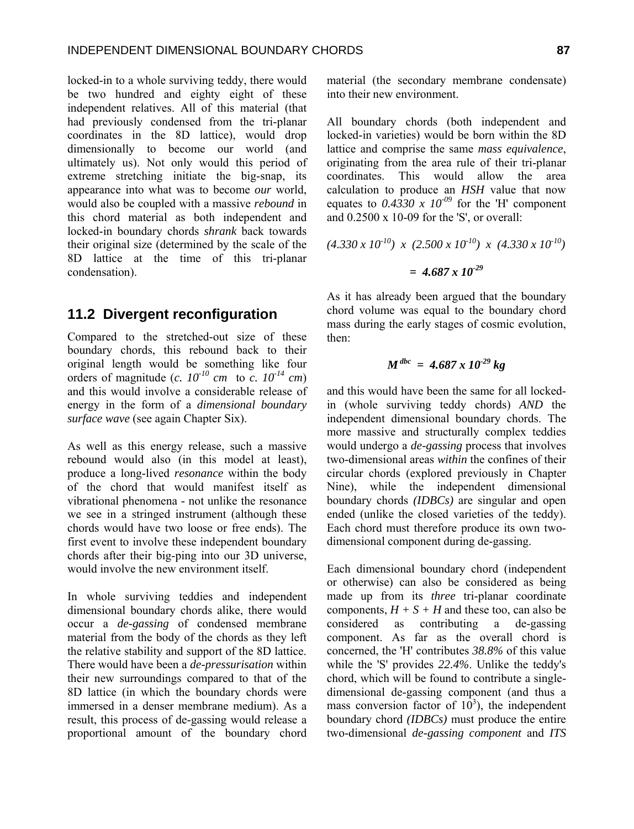locked-in to a whole surviving teddy, there would be two hundred and eighty eight of these independent relatives. All of this material (that had previously condensed from the tri-planar coordinates in the 8D lattice), would drop dimensionally to become our world (and ultimately us). Not only would this period of extreme stretching initiate the big-snap, its appearance into what was to become *our* world, would also be coupled with a massive *rebound* in this chord material as both independent and locked-in boundary chords *shrank* back towards their original size (determined by the scale of the 8D lattice at the time of this tri-planar condensation).

#### **11.2 Divergent reconfiguration**

Compared to the stretched-out size of these boundary chords, this rebound back to their original length would be something like four orders of magnitude  $(c. 10^{-10} \text{ cm}$  to  $c. 10^{-14} \text{ cm}$ and this would involve a considerable release of energy in the form of a *dimensional boundary surface wave* (see again Chapter Six).

As well as this energy release, such a massive rebound would also (in this model at least), produce a long-lived *resonance* within the body of the chord that would manifest itself as vibrational phenomena - not unlike the resonance we see in a stringed instrument (although these chords would have two loose or free ends). The first event to involve these independent boundary chords after their big-ping into our 3D universe, would involve the new environment itself.

In whole surviving teddies and independent dimensional boundary chords alike, there would occur a *de-gassing* of condensed membrane material from the body of the chords as they left the relative stability and support of the 8D lattice. There would have been a *de-pressurisation* within their new surroundings compared to that of the 8D lattice (in which the boundary chords were immersed in a denser membrane medium). As a result, this process of de-gassing would release a proportional amount of the boundary chord material (the secondary membrane condensate) into their new environment.

All boundary chords (both independent and locked-in varieties) would be born within the 8D lattice and comprise the same *mass equivalence*, originating from the area rule of their tri-planar coordinates. This would allow the area calculation to produce an *HSH* value that now equates to  $0.4330 \times 10^{09}$  for the 'H' component and 0.2500 x 10-09 for the 'S', or overall:

$$
(4.330 \times 10^{10}) \times (2.500 \times 10^{10}) \times (4.330 \times 10^{10})
$$

$$
= 4.687 \times 10^{29}
$$

As it has already been argued that the boundary chord volume was equal to the boundary chord mass during the early stages of cosmic evolution, then:

$$
M^{dbc} = 4.687 \times 10^{-29} kg
$$

and this would have been the same for all lockedin (whole surviving teddy chords) *AND* the independent dimensional boundary chords. The more massive and structurally complex teddies would undergo a *de-gassing* process that involves two-dimensional areas *within* the confines of their circular chords (explored previously in Chapter Nine), while the independent dimensional boundary chords *(IDBCs)* are singular and open ended (unlike the closed varieties of the teddy). Each chord must therefore produce its own twodimensional component during de-gassing.

Each dimensional boundary chord (independent or otherwise) can also be considered as being made up from its *three* tri-planar coordinate components,  $H + S + H$  and these too, can also be considered as contributing a de-gassing component. As far as the overall chord is concerned, the 'H' contributes *38.8%* of this value while the 'S' provides *22.4%*. Unlike the teddy's chord, which will be found to contribute a singledimensional de-gassing component (and thus a mass conversion factor of  $10<sup>3</sup>$ ), the independent boundary chord *(IDBCs)* must produce the entire two-dimensional *de-gassing component* and *ITS*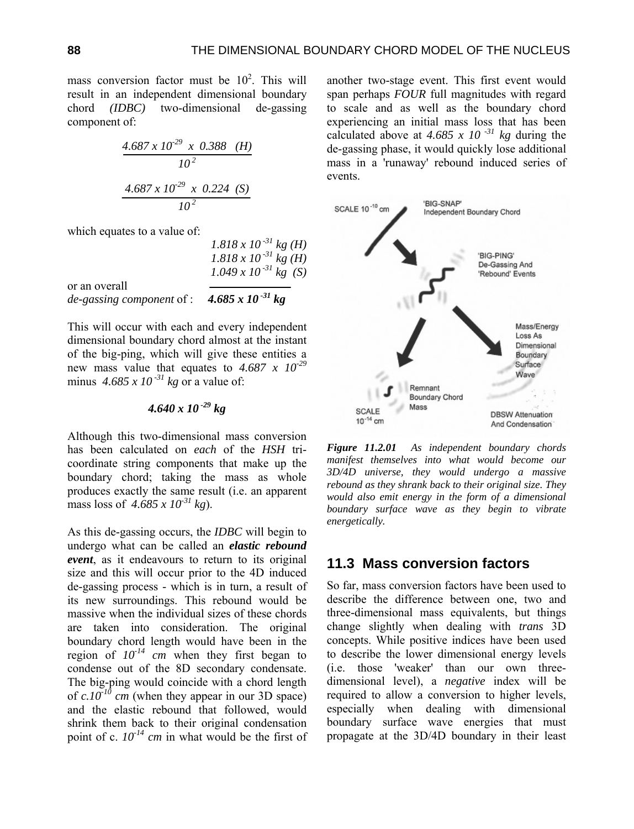mass conversion factor must be  $10^2$ . This will result in an independent dimensional boundary chord *(IDBC)* two-dimensional de-gassing component of:

$$
\frac{4.687 \times 10^{29} \times 0.388 \quad (H)}{10^2}
$$

$$
\frac{4.687 \times 10^{29} \times 0.224 \quad (S)}{10^2}
$$

which equates to a value of:

*1.818 x 10 -31 kg (H)*   $1.818 \times 10^{-31}$  kg (H)  $1.049 \times 10^{-31}$  kg (S) or an overall *de-gassing component* of : *4.685 x 10 -31 kg*

This will occur with each and every independent dimensional boundary chord almost at the instant of the big-ping, which will give these entities a new mass value that equates to *4.687 x 10-29* minus  $4.685 \times 10^{-31}$  kg or a value of:

$$
4.640 \times 10^{-29} \text{ kg}
$$

Although this two-dimensional mass conversion has been calculated on *each* of the *HSH* tricoordinate string components that make up the boundary chord; taking the mass as whole produces exactly the same result (i.e. an apparent mass loss of *4.685 x 10-31 kg*).

As this de-gassing occurs, the *IDBC* will begin to undergo what can be called an *elastic rebound event*, as it endeavours to return to its original size and this will occur prior to the 4D induced de-gassing process - which is in turn, a result of its new surroundings. This rebound would be massive when the individual sizes of these chords are taken into consideration. The original boundary chord length would have been in the region of  $10^{-14}$  cm when they first began to condense out of the 8D secondary condensate. The big-ping would coincide with a chord length of  $c.10^{-10}$  cm (when they appear in our 3D space) and the elastic rebound that followed, would shrink them back to their original condensation point of c.  $10^{-14}$  cm in what would be the first of

another two-stage event. This first event would span perhaps *FOUR* full magnitudes with regard to scale and as well as the boundary chord experiencing an initial mass loss that has been calculated above at  $4.685 \times 10^{-31}$  kg during the de-gassing phase, it would quickly lose additional mass in a 'runaway' rebound induced series of events.



*Figure 11.2.01 As independent boundary chords manifest themselves into what would become our 3D/4D universe, they would undergo a massive rebound as they shrank back to their original size. They would also emit energy in the form of a dimensional boundary surface wave as they begin to vibrate energetically.* 

### **11.3 Mass conversion factors**

So far, mass conversion factors have been used to describe the difference between one, two and three-dimensional mass equivalents, but things change slightly when dealing with *trans* 3D concepts. While positive indices have been used to describe the lower dimensional energy levels (i.e. those 'weaker' than our own threedimensional level), a *negative* index will be required to allow a conversion to higher levels, especially when dealing with dimensional boundary surface wave energies that must propagate at the 3D/4D boundary in their least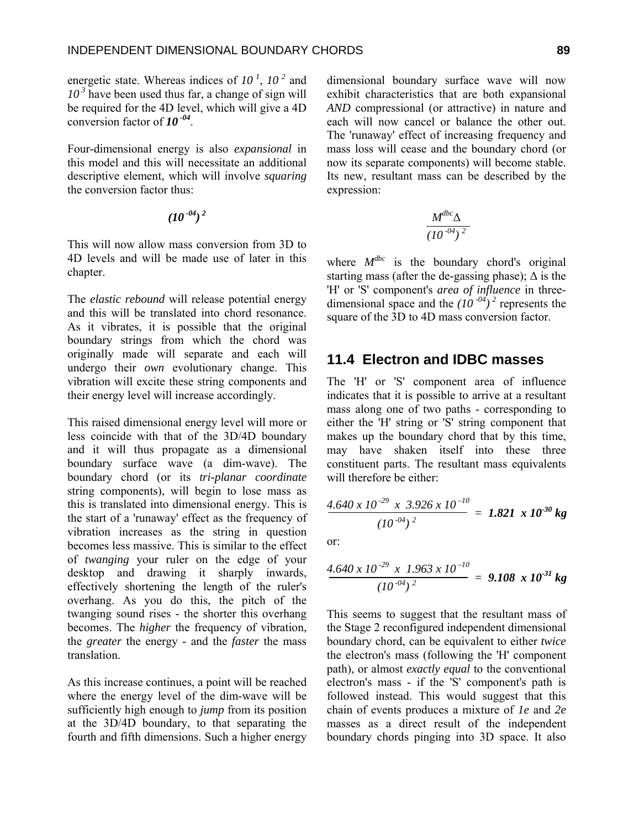energetic state. Whereas indices of *10<sup>1</sup>*, *10 2* and  $10<sup>3</sup>$  have been used thus far, a change of sign will be required for the 4D level, which will give a 4D conversion factor of  $10^{-04}$ .

Four-dimensional energy is also *expansional* in this model and this will necessitate an additional descriptive element, which will involve *squaring* the conversion factor thus:

$$
(10^{-04})^2
$$

This will now allow mass conversion from 3D to 4D levels and will be made use of later in this chapter.

The *elastic rebound* will release potential energy and this will be translated into chord resonance. As it vibrates, it is possible that the original boundary strings from which the chord was originally made will separate and each will undergo their *own* evolutionary change. This vibration will excite these string components and their energy level will increase accordingly.

This raised dimensional energy level will more or less coincide with that of the 3D/4D boundary and it will thus propagate as a dimensional boundary surface wave (a dim-wave). The boundary chord (or its *tri-planar coordinate* string components), will begin to lose mass as this is translated into dimensional energy. This is the start of a 'runaway' effect as the frequency of vibration increases as the string in question becomes less massive. This is similar to the effect of *twanging* your ruler on the edge of your desktop and drawing it sharply inwards, effectively shortening the length of the ruler's overhang. As you do this, the pitch of the twanging sound rises - the shorter this overhang becomes. The *higher* the frequency of vibration, the *greater* the energy - and the *faster* the mass translation.

As this increase continues, a point will be reached where the energy level of the dim-wave will be sufficiently high enough to *jump* from its position at the 3D/4D boundary, to that separating the fourth and fifth dimensions. Such a higher energy

dimensional boundary surface wave will now exhibit characteristics that are both expansional *AND* compressional (or attractive) in nature and each will now cancel or balance the other out. The 'runaway' effect of increasing frequency and mass loss will cease and the boundary chord (or now its separate components) will become stable. Its new, resultant mass can be described by the expression:

$$
\frac{M^{dbc}\Delta}{(10^{-04})^2}
$$

where  $M^{dbc}$  is the boundary chord's original starting mass (after the de-gassing phase);  $\Delta$  is the 'H' or 'S' component's *area of influence* in threedimensional space and the  $(10^{-04})^2$  represents the square of the 3D to 4D mass conversion factor.

## **11.4 Electron and IDBC masses**

The 'H' or 'S' component area of influence indicates that it is possible to arrive at a resultant mass along one of two paths - corresponding to either the 'H' string or 'S' string component that makes up the boundary chord that by this time, may have shaken itself into these three constituent parts. The resultant mass equivalents will therefore be either:

$$
\frac{4.640 \times 10^{-29} \times 3.926 \times 10^{-10}}{(10^{-04})^2} = 1.821 \times 10^{-30} \text{ kg}
$$

or:

$$
\frac{4.640 \times 10^{-29} \times 1.963 \times 10^{-10}}{(10^{-04})^2} = 9.108 \times 10^{-31} \text{ kg}
$$

This seems to suggest that the resultant mass of the Stage 2 reconfigured independent dimensional boundary chord, can be equivalent to either *twice* the electron's mass (following the 'H' component path), or almost *exactly equal* to the conventional electron's mass - if the 'S' component's path is followed instead. This would suggest that this chain of events produces a mixture of *1e* and *2e* masses as a direct result of the independent boundary chords pinging into 3D space. It also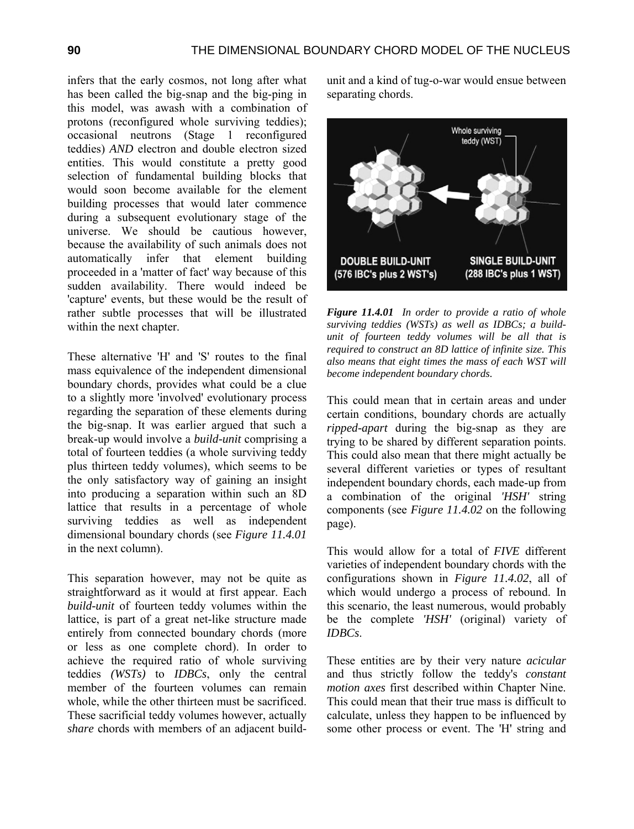infers that the early cosmos, not long after what has been called the big-snap and the big-ping in this model, was awash with a combination of protons (reconfigured whole surviving teddies); occasional neutrons (Stage 1 reconfigured teddies) *AND* electron and double electron sized entities. This would constitute a pretty good selection of fundamental building blocks that would soon become available for the element building processes that would later commence during a subsequent evolutionary stage of the universe. We should be cautious however, because the availability of such animals does not automatically infer that element building proceeded in a 'matter of fact' way because of this sudden availability. There would indeed be 'capture' events, but these would be the result of rather subtle processes that will be illustrated within the next chapter.

These alternative 'H' and 'S' routes to the final mass equivalence of the independent dimensional boundary chords, provides what could be a clue to a slightly more 'involved' evolutionary process regarding the separation of these elements during the big-snap. It was earlier argued that such a break-up would involve a *build-unit* comprising a total of fourteen teddies (a whole surviving teddy plus thirteen teddy volumes), which seems to be the only satisfactory way of gaining an insight into producing a separation within such an 8D lattice that results in a percentage of whole surviving teddies as well as independent dimensional boundary chords (see *Figure 11.4.01* in the next column).

This separation however, may not be quite as straightforward as it would at first appear. Each *build-unit* of fourteen teddy volumes within the lattice, is part of a great net-like structure made entirely from connected boundary chords (more or less as one complete chord). In order to achieve the required ratio of whole surviving teddies *(WSTs)* to *IDBCs*, only the central member of the fourteen volumes can remain whole, while the other thirteen must be sacrificed. These sacrificial teddy volumes however, actually *share* chords with members of an adjacent buildunit and a kind of tug-o-war would ensue between separating chords.



*Figure 11.4.01 In order to provide a ratio of whole surviving teddies (WSTs) as well as IDBCs; a buildunit of fourteen teddy volumes will be all that is required to construct an 8D lattice of infinite size. This also means that eight times the mass of each WST will become independent boundary chords.* 

This could mean that in certain areas and under certain conditions, boundary chords are actually *ripped-apart* during the big-snap as they are trying to be shared by different separation points. This could also mean that there might actually be several different varieties or types of resultant independent boundary chords, each made-up from a combination of the original *'HSH'* string components (see *Figure 11.4.02* on the following page).

This would allow for a total of *FIVE* different varieties of independent boundary chords with the configurations shown in *Figure 11.4.02*, all of which would undergo a process of rebound. In this scenario, the least numerous, would probably be the complete *'HSH'* (original) variety of *IDBCs*.

These entities are by their very nature *acicular*  and thus strictly follow the teddy's *constant motion axes* first described within Chapter Nine. This could mean that their true mass is difficult to calculate, unless they happen to be influenced by some other process or event. The 'H' string and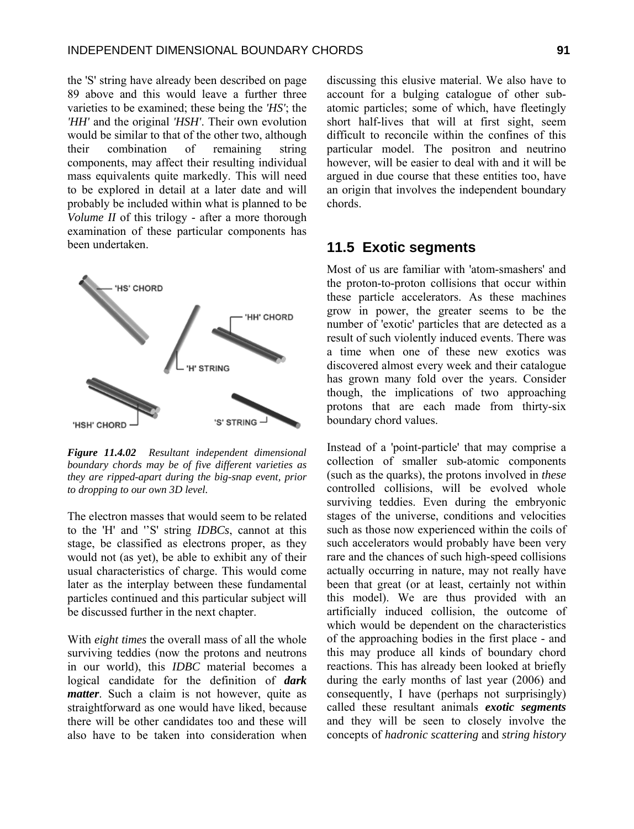the 'S' string have already been described on page 89 above and this would leave a further three varieties to be examined; these being the *'HS'*; the *'HH'* and the original *'HSH'*. Their own evolution would be similar to that of the other two, although their combination of remaining string components, may affect their resulting individual mass equivalents quite markedly. This will need to be explored in detail at a later date and will probably be included within what is planned to be *Volume II* of this trilogy - after a more thorough examination of these particular components has been undertaken.



*Figure 11.4.02 Resultant independent dimensional boundary chords may be of five different varieties as they are ripped-apart during the big-snap event, prior to dropping to our own 3D level.* 

The electron masses that would seem to be related to the 'H' and ''S' string *IDBCs*, cannot at this stage, be classified as electrons proper, as they would not (as yet), be able to exhibit any of their usual characteristics of charge. This would come later as the interplay between these fundamental particles continued and this particular subject will be discussed further in the next chapter.

With *eight times* the overall mass of all the whole surviving teddies (now the protons and neutrons in our world), this *IDBC* material becomes a logical candidate for the definition of *dark matter*. Such a claim is not however, quite as straightforward as one would have liked, because there will be other candidates too and these will also have to be taken into consideration when discussing this elusive material. We also have to account for a bulging catalogue of other subatomic particles; some of which, have fleetingly short half-lives that will at first sight, seem difficult to reconcile within the confines of this particular model. The positron and neutrino however, will be easier to deal with and it will be argued in due course that these entities too, have an origin that involves the independent boundary chords.

#### **11.5 Exotic segments**

Most of us are familiar with 'atom-smashers' and the proton-to-proton collisions that occur within these particle accelerators. As these machines grow in power, the greater seems to be the number of 'exotic' particles that are detected as a result of such violently induced events. There was a time when one of these new exotics was discovered almost every week and their catalogue has grown many fold over the years. Consider though, the implications of two approaching protons that are each made from thirty-six boundary chord values.

Instead of a 'point-particle' that may comprise a collection of smaller sub-atomic components (such as the quarks), the protons involved in *these* controlled collisions, will be evolved whole surviving teddies. Even during the embryonic stages of the universe, conditions and velocities such as those now experienced within the coils of such accelerators would probably have been very rare and the chances of such high-speed collisions actually occurring in nature, may not really have been that great (or at least, certainly not within this model). We are thus provided with an artificially induced collision, the outcome of which would be dependent on the characteristics of the approaching bodies in the first place - and this may produce all kinds of boundary chord reactions. This has already been looked at briefly during the early months of last year (2006) and consequently, I have (perhaps not surprisingly) called these resultant animals *exotic segments* and they will be seen to closely involve the concepts of *hadronic scattering* and *string history*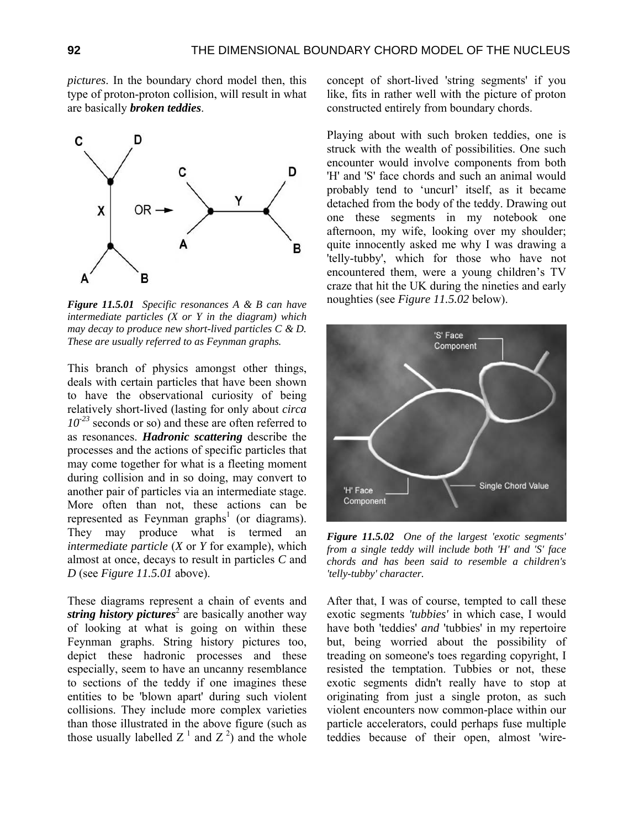*pictures*. In the boundary chord model then, this type of proton-proton collision, will result in what are basically *broken teddies*.



*Figure 11.5.01 Specific resonances A & B can have intermediate particles (X or Y in the diagram) which may decay to produce new short-lived particles C & D. These are usually referred to as Feynman graphs.* 

This branch of physics amongst other things, deals with certain particles that have been shown to have the observational curiosity of being relatively short-lived (lasting for only about *circa 10-23* seconds or so) and these are often referred to as resonances. *Hadronic scattering* describe the processes and the actions of specific particles that may come together for what is a fleeting moment during collision and in so doing, may convert to another pair of particles via an intermediate stage. More often than not, these actions can be represented as Feynman graphs<sup>1</sup> (or diagrams). They may produce what is termed an *intermediate particle* (*X* or *Y* for example), which almost at once, decays to result in particles *C* and *D* (see *Figure 11.5.01* above).

These diagrams represent a chain of events and string history pictures<sup>2</sup> are basically another way of looking at what is going on within these Feynman graphs. String history pictures too, depict these hadronic processes and these especially, seem to have an uncanny resemblance to sections of the teddy if one imagines these entities to be 'blown apart' during such violent collisions. They include more complex varieties than those illustrated in the above figure (such as those usually labelled  $Z^1$  and  $Z^2$ ) and the whole

concept of short-lived 'string segments' if you like, fits in rather well with the picture of proton constructed entirely from boundary chords.

Playing about with such broken teddies, one is struck with the wealth of possibilities. One such encounter would involve components from both 'H' and 'S' face chords and such an animal would probably tend to 'uncurl' itself, as it became detached from the body of the teddy. Drawing out one these segments in my notebook one afternoon, my wife, looking over my shoulder; quite innocently asked me why I was drawing a 'telly-tubby', which for those who have not encountered them, were a young children's TV craze that hit the UK during the nineties and early noughties (see *Figure 11.5.02* below).



*Figure 11.5.02 One of the largest 'exotic segments' from a single teddy will include both 'H' and 'S' face chords and has been said to resemble a children's 'telly-tubby' character.* 

After that, I was of course, tempted to call these exotic segments *'tubbies'* in which case, I would have both 'teddies' *and* 'tubbies' in my repertoire but, being worried about the possibility of treading on someone's toes regarding copyright, I resisted the temptation. Tubbies or not, these exotic segments didn't really have to stop at originating from just a single proton, as such violent encounters now common-place within our particle accelerators, could perhaps fuse multiple teddies because of their open, almost 'wire